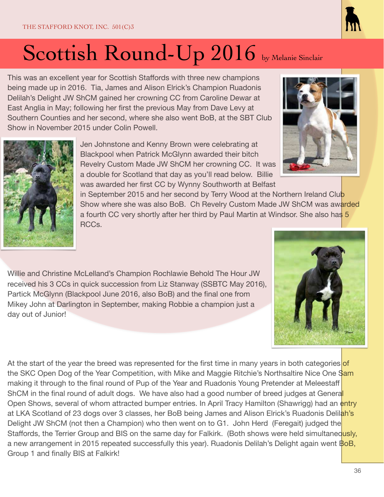This was an excellent year for Scottish Staffords with three new champions being made up in 2016. Tia, James and Alison Elrick's Champion Ruadonis Delilah's Delight JW ShCM gained her crowning CC from Caroline Dewar at East Anglia in May; following her first the previous May from Dave Levy at Southern Counties and her second, where she also went BoB, at the SBT Club Show in November 2015 under Colin Powell.

> Jen Johnstone and Kenny Brown were celebrating at Blackpool when Patrick McGlynn awarded their bitch Revelry Custom Made JW ShCM her crowning CC. It was a double for Scotland that day as you'll read below. Billie was awarded her first CC by Wynny Southworth at Belfast

in September 2015 and her second by Terry Wood at the Northern Ireland Club Show where she was also BoB. Ch Revelry Custom Made JW ShCM was awarded a fourth CC very shortly after her third by Paul Martin at Windsor. She also has 5 RCCs.

Willie and Christine McLelland's Champion Rochlawie Behold The Hour JW received his 3 CCs in quick succession from Liz Stanway (SSBTC May 2016), Partick McGlynn (Blackpool June 2016, also BoB) and the final one from Mikey John at Darlington in September, making Robbie a champion just a day out of Junior!

At the start of the year the breed was represented for the first time in many years in both categories of the SKC Open Dog of the Year Competition, with Mike and Maggie Ritchie's Northsaltire Nice One Sam making it through to the final round of Pup of the Year and Ruadonis Young Pretender at Meleestaff ShCM in the final round of adult dogs. We have also had a good number of breed judges at General Open Shows, several of whom attracted bumper entries. In April Tracy Hamilton (Shawrigg) had an entry at LKA Scotland of 23 dogs over 3 classes, her BoB being James and Alison Elrick's Ruadonis Delilah's Delight JW ShCM (not then a Champion) who then went on to G1. John Herd (Feregait) judged the Staffords, the Terrier Group and BIS on the same day for Falkirk. (Both shows were held simultaneously, a new arrangement in 2015 repeated successfully this year). Ruadonis Delilah's Delight again went BoB, Group 1 and finally BIS at Falkirk!







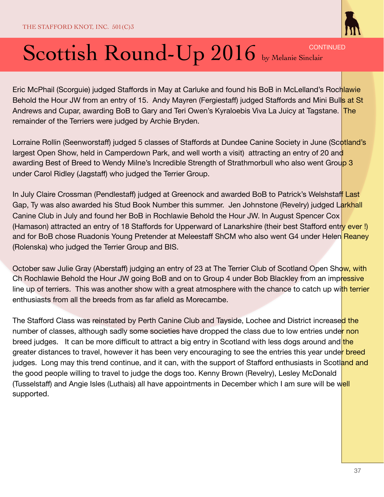

Eric McPhail (Scorguie) judged Staffords in May at Carluke and found his BoB in McLelland's Rochlawie Behold the Hour JW from an entry of 15. Andy Mayren (Fergiestaff) judged Staffords and Mini Bull<mark>s at St</mark> Andrews and Cupar, awarding BoB to Gary and Teri Owen's Kyraloebis Viva La Juicy at Tagstane. The remainder of the Terriers were judged by Archie Bryden.

Lorraine Rollin (Seenworstaff) judged 5 classes of Staffords at Dundee Canine Society in June (Scotland's largest Open Show, held in Camperdown Park, and well worth a visit) attracting an entry of 20 and awarding Best of Breed to Wendy Milne's Incredible Strength of Strathmorbull who also went Group 3 under Carol Ridley (Jagstaff) who judged the Terrier Group.

In July Claire Crossman (Pendlestaff) judged at Greenock and awarded BoB to Patrick's Welshstaff Last Gap, Ty was also awarded his Stud Book Number this summer. Jen Johnstone (Revelry) judged Larkhall Canine Club in July and found her BoB in Rochlawie Behold the Hour JW. In August Spencer Cox (Hamason) attracted an entry of 18 Staffords for Upperward of Lanarkshire (their best Stafford entry ever!) and for BoB chose Ruadonis Young Pretender at Meleestaff ShCM who also went G4 under Helen Reaney (Rolenska) who judged the Terrier Group and BIS.

October saw Julie Gray (Aberstaff) judging an entry of 23 at The Terrier Club of Scotland Open Show, with Ch Rochlawie Behold the Hour JW going BoB and on to Group 4 under Bob Blackley from an impressive line up of terriers. This was another show with a great atmosphere with the chance to catch up with terrier enthusiasts from all the breeds from as far afield as Morecambe.

The Stafford Class was reinstated by Perth Canine Club and Tayside, Lochee and District increased the number of classes, although sadly some societies have dropped the class due to low entries under non breed judges. It can be more difficult to attract a big entry in Scotland with less dogs around and the greater distances to travel, however it has been very encouraging to see the entries this year under breed judges. Long may this trend continue, and it can, with the support of Stafford enthusiasts in Scotland and the good people willing to travel to judge the dogs too. Kenny Brown (Revelry), Lesley McDonald (Tusselstaff) and Angie Isles (Luthais) all have appointments in December which I am sure will be well supported.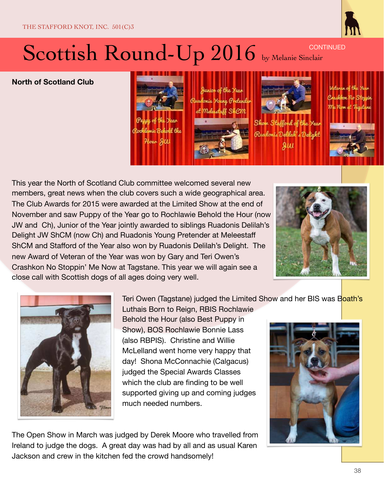

**North of Scotland Club** 



This year the North of Scotland Club committee welcomed several new members, great news when the club covers such a wide geographical area. The Club Awards for 2015 were awarded at the Limited Show at the end of November and saw Puppy of the Year go to Rochlawie Behold the Hour (now JW and Ch), Junior of the Year jointly awarded to siblings Ruadonis Delilah's Delight JW ShCM (now Ch) and Ruadonis Young Pretender at Meleestaff ShCM and Stafford of the Year also won by Ruadonis Delilah's Delight. The new Award of Veteran of the Year was won by Gary and Teri Owen's Crashkon No Stoppin' Me Now at Tagstane. This year we will again see a close call with Scottish dogs of all ages doing very well.





Teri Owen (Tagstane) judged the Limited Show and her BIS was Boath's

Luthais Born to Reign, RBIS Rochlawie Behold the Hour (also Best Puppy in Show), BOS Rochlawie Bonnie Lass (also RBPIS). Christine and Willie McLelland went home very happy that day! Shona McConnachie (Calgacus) judged the Special Awards Classes which the club are finding to be well supported giving up and coming judges much needed numbers.

The Open Show in March was judged by Derek Moore who travelled from Ireland to judge the dogs. A great day was had by all and as usual Karen Jackson and crew in the kitchen fed the crowd handsomely!

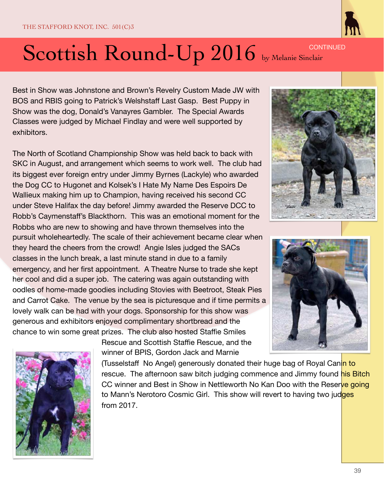

Best in Show was Johnstone and Brown's Revelry Custom Made JW with BOS and RBIS going to Patrick's Welshstaff Last Gasp. Best Puppy in Show was the dog, Donald's Vanayres Gambler. The Special Awards Classes were judged by Michael Findlay and were well supported by exhibitors.

The North of Scotland Championship Show was held back to back with SKC in August, and arrangement which seems to work well. The club had its biggest ever foreign entry under Jimmy Byrnes (Lackyle) who awarded the Dog CC to Hugonet and Kolsek's I Hate My Name Des Espoirs De Wallieux making him up to Champion, having received his second CC under Steve Halifax the day before! Jimmy awarded the Reserve DCC to Robb's Caymenstaff's Blackthorn. This was an emotional moment for the Robbs who are new to showing and have thrown themselves into the pursuit wholeheartedly. The scale of their achievement became clear when they heard the cheers from the crowd! Angie Isles judged the SACs classes in the lunch break, a last minute stand in due to a family emergency, and her first appointment. A Theatre Nurse to trade she kept her cool and did a super job. The catering was again outstanding with oodles of home-made goodies including Stovies with Beetroot, Steak Pies and Carrot Cake. The venue by the sea is picturesque and if time permits a lovely walk can be had with your dogs. Sponsorship for this show was generous and exhibitors enjoyed complimentary shortbread and the chance to win some great prizes. The club also hosted Staffie Smiles

> Rescue and Scottish Staffie Rescue, and the winner of BPIS, Gordon Jack and Marnie

(Tusselstaff No Angel) generously donated their huge bag of Royal Canin to rescue. The afternoon saw bitch judging commence and Jimmy found his Bitch CC winner and Best in Show in Nettleworth No Kan Doo with the Reserve going to Mann's Nerotoro Cosmic Girl. This show will revert to having two judges from 2017.





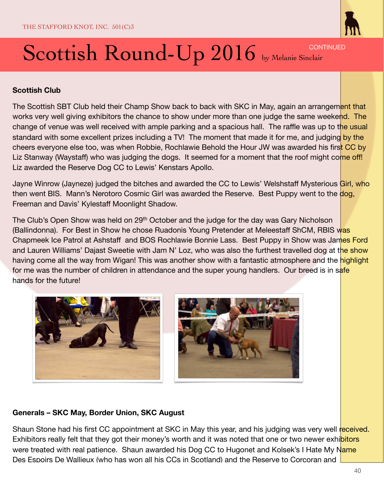

**Scottish Club** 

The Scottish SBT Club held their Champ Show back to back with SKC in May, again an arrangement that works very well giving exhibitors the chance to show under more than one judge the same weekend. The change of venue was well received with ample parking and a spacious hall. The raffle was up to the usual standard with some excellent prizes including a TV! The moment that made it for me, and judging by the cheers everyone else too, was when Robbie, Rochlawie Behold the Hour JW was awarded his first CC by Liz Stanway (Waystaff) who was judging the dogs. It seemed for a moment that the roof might come off! Liz awarded the Reserve Dog CC to Lewis' Kenstars Apollo.

Jayne Winrow (Jayneze) judged the bitches and awarded the CC to Lewis' Welshstaff Mysterious Girl, who then went BIS. Mann's Nerotoro Cosmic Girl was awarded the Reserve. Best Puppy went to the dog, Freeman and Davis' Kylestaff Moonlight Shadow.

The Club's Open Show was held on 29<sup>th</sup> October and the judge for the day was Gary Nicholson (Ballindonna). For Best in Show he chose Ruadonis Young Pretender at Meleestaff ShCM, RBIS was Chapmeek Ice Patrol at Ashstaff and BOS Rochlawie Bonnie Lass. Best Puppy in Show was James Ford and Lauren Williams' Dajast Sweetie with Jam N' Loz, who was also the furthest travelled dog at the show having come all the way from Wigan! This was another show with a fantastic atmosphere and the highlight for me was the number of children in attendance and the super young handlers. Our breed is in safe hands for the future!





#### **Generals – SKC May, Border Union, SKC August**

Shaun Stone had his first CC appointment at SKC in May this year, and his judging was very well received. Exhibitors really felt that they got their money's worth and it was noted that one or two newer exhibitors were treated with real patience. Shaun awarded his Dog CC to Hugonet and Kolsek's I Hate My Name Des Espoirs De Wallieux (who has won all his CCs in Scotland) and the Reserve to Corcoran and